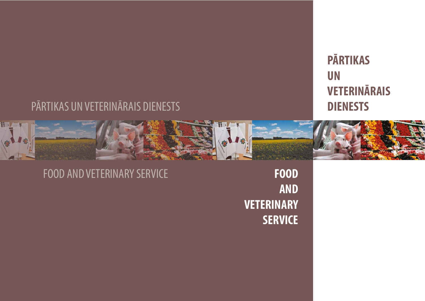# **PĀRTIKAS UN VETERINĀRAIS DIENESTS**

FOOD AND VETERINARY SERVICE **FOOD**

**AND VETERINARY SERVICE**

# PĀRTIKAS UN VETERINĀRAIS DIENESTS

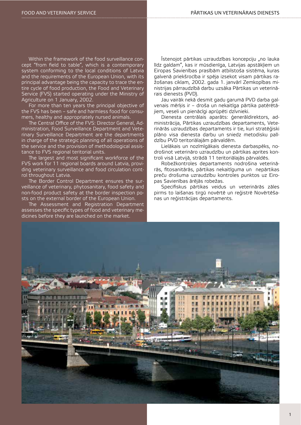Within the framework of the food surveillance concept "from field to table", which is a contemporary system conforming to the local conditions of Latvia and the requirements of the European Union, with its principal advantage being the capacity to trace the entire cycle of food production, the Food and Veterinary Service (FVS) started operating under the Ministry of Agriculture on 1 January, 2002.

For more than ten years the principal objective of the FVS has been – safe and harmless food for consumers, healthy and appropriately nursed animals.

The Central Office of the FVS: Director General, Administration, Food Surveillance Department and Veterinary Surveillance Department are the departments in charge of the strategic planning of all operations of the service and the provision of methodological assistance to FVS regional teritorial units.

The largest and most significant workforce of the FVS work for 11 regional boards around Latvia, providing veterinary surveillance and food circulation control throughout Latvia.

The Border Control Department ensures the surveillance of veterinary, phytosanitary, food safety and non-food product safety at the border inspection posts on the external border of the European Union.

The Assessment and Registration Department assesses the specific types of food and veterinary medicines before they are launched on the market.

Īstenojot pārtikas uzraudzības koncepciju "no lauka līdz galdam", kas ir mūsdienīga, Latvijas apstākļiem un Eiropas Savienības prasībām atbilstoša sistēma, kuras galvenā priekšrocība ir spēja izsekot visam pārtikas ražošanas ciklam, 2002. gada 1. janvārī Zemkopības ministrijas pārraudzībā darbu uzsāka Pārtikas un veterinārais dienests (PVD).

Jau vairāk nekā desmit gadu garumā PVD darba galvenais mērķis ir – droša un nekaitīga pārtika patērētājiem, veseli un pienācīgi aprūpēti dzīvnieki.

Dienesta centrālais aparāts: ģenerāldirektors, administrācija, Pārtikas uzraudzības departaments, Veterinārās uzraudzības departaments ir tie, kuri stratēģiski plāno visa dienesta darbu un sniedz metodisku palīdzību PVD teritoriālajām pārvaldēm.

Lielākais un nozīmīgākais dienesta darbaspēks, nodrošinot veterināro uzraudzību un pārtikas aprites kontroli visā Latvijā, strādā 11 teritoriālajās pārvaldēs.

Robežkontroles departaments nodrošina veterinārās, fitosanitārās, pārtikas nekaitīguma un nepārtikas preču drošuma uzraudzību kontroles punktos uz Eiropas Savienības ārējās robežas.

Specifiskus pārtikas veidus un veterinārās zāles pirms to laišanas tirgū novērtē un reģistrē Novērtēšanas un reģistrācijas departaments.

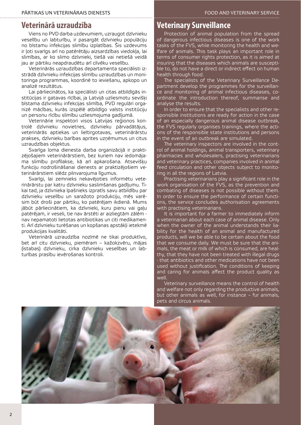### **Veterinārā uzraudzība**

Viens no PVD darba uzdevumiem, uzraugot dzīvnieku veselību un labturību, ir pasargāt dzīvnieku populāciju no bīstamu infekcijas slimību izplatības. Šis uzdevums ir ļoti svarīgs arī no patērētāju aizsardzības viedokļa, lai slimības, ar ko slimo dzīvnieki, tiešā vai netiešā veidā jau ar pārtiku neapdraudētu arī cilvēku veselību.

Veterinārās uzraudzības departamenta speciālisti izstrādā dzīvnieku infekcijas slimību uzraudzības un monitoringa programmas, koordinē to ieviešanu, apkopo un analizē rezultātus.

Lai pārliecinātos, ka speciālisti un citas atbildīgās institūcijas ir gatavas rīcībai, ja Latvijā uzliesmotu sevišķi bīstama dzīvnieku infekcijas slimība, PVD regulāri organizē mācības, kurās izspēlē atbildīgo valsts institūciju un personu rīcību slimību uzliesmojuma gadījumā.

Veterinārie inspektori visos Latvijas reģionos kontrolē dzīvnieku novietnes, dzīvnieku pārvadātājus, veterinārās aptiekas un lieltirgotavas, veterinārārstu prakses, dzīvnieku barības aprites uzņēmumus un citus uzraudzības objektus.

Svarīga loma dienesta darba organizācijā ir praktizējošajiem veterinārārstiem, bez kuriem nav iedomājama slimību profilakse, kā arī apkarošana. Atsevišķu funkciju nodrošināšanai dienests ar praktizējošiem veterinārārstiem slēdz pilnvarojuma līgumus.

Svarīgi, lai zemnieks nekavējoties informētu veterinārārstu par katru dzīvnieku saslimšanas gadījumu. Tikai tad, ja dzīvnieka īpašnieks izpratīs savu atbildību par dzīvnieku veselību un saražoto produkciju, mēs varēsim būt droši par pārtiku, ko patērējam ikdienā. Mums jābūt pārliecinātiem, ka dzīvnieki, kuru pienu vai gaļu patērējam, ir veseli, tie nav ārstēti ar aizliegtām zālēm nav nepamatoti lietotas antibiotikas un citi medikamenti. Arī dzīvnieku turēšanas un kopšanas apstākļi ietekmē produkcijas kvalitāti.

Veterinārā uzraudzība nozīmē ne tikai produktīvo, bet arī citu dzīvnieku, piemēram – kažokzvēru, mājas (istabas) dzīvnieku, cirka dzīvnieku veselības un labturības prasību ievērošanas kontroli.

### **Veterinary Surveillance**

Protection of animal population from the spread of dangerous infectious diseases is one of the work tasks of the FVS, while monitoring the health and we-Ifare of animals. This task plays an important role in terms of consumer rights protection, as it is aimed at insuring that the diseases which animals are susceptible to, do not have a direct or indirect effect on human health through food.

The specialists of the Veterinary Surveillance Department develop the programmes for the surveillance and monitoring of animal infectious diseases, coordinate the introduction thereof, summarise and analyse the results.

In order to ensure that the specialists and other responsible institutions are ready for action in the case of an especially dangerous animal disease outbreak, the FVS regularly organises trainings, where the actions of the responsible state institutions and persons in the event of an outbreak are simulated.

The veterinary inspectors are involved in the control of animal holdings, animal transporters, veterinary pharmacies and wholesalers, practising veterinarians and veterinary practices, companies involved in animal feed circulation and other objects subject to monitoring in all the regions of Latvia.

Practising veterinarians play a significant role in the work organisation of the FVS, as the prevention and combating of diseases is not possible without them. In order to ensure the performance of certain functions, the service concludes authorisation agreements with practising veterinarians.

It is important for a farmer to immediately inform a veterinarian about each case of animal disease. Only when the owner of the animal understands their liability for the health of an animal and manufactured products, will we be able to be certain about the food that we consume daily. We must be sure that the animals, the meat or milk of which is consumed, are healthy, that they have not been treated with illegal drugs - that antibiotics and other medications have not been used without justification. The conditions of keeping and caring for animals affect the product quality as well.

Veterinary surveillance means the control of health and welfare not only regarding the productive animals, but other animals as well, for instance – fur animals, pets and circus animals.

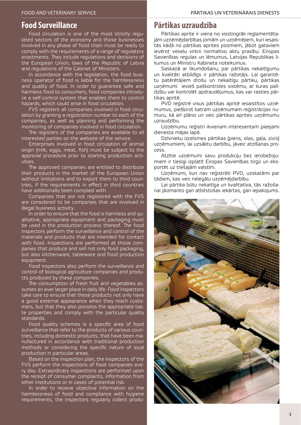### **Food Surveillance**

Food circulation is one of the most strictly regulated sectors of the economy and those businesses involved in any phase of food chain must be ready to comply with the requirements of a range of regulatory enactments. They include regulations and decisions of the European Union, laws of the Republic of Latvia and regulations of the Cabinet of Ministers.

In accordance with the legislation, the food business operator of food is liable for the harmlessness and quality of food. In order to guarantee safe and harmless food to consumers, food companies introduce a self-control system that enables them to control hazards, which could arise in food circulation.

FVS registers all companies involved in food circulation by granting a registration number to each of the companies, as well as planning and performing the monitoring of companies involved in food circulation.

The registers of the companies are available to all interested parties on the website of the service.

Enterprises involved in food circulation of animal origin (milk, eggs, meat, fish) must be subject to the approval procedure prior to starting production activities.

The approved companies are entitled to distribute their products in the market of the European Union without limitations and to export them to third countries, if the requirements in effect in third countries have additionally been complied with.

Companies that are not registered with the FVS are considered to be companies that are involved in illegal business activity.

In order to ensure that the food is harmless and qualitative, appropriate equipment and packaging must be used in the production process thereof. The food inspectors perform the surveillance and control of the materials and products that are intended for contact with food. Inspections are performed at those companies that produce and sell not only food packaging, but also kitchenware, tableware and food production equipment.

Food inspectors also perform the surveillance and control of biological agriculture companies and products produced by these companies.

The consumption of fresh fruit and vegetables assumes an ever larger place in daily life. Food inspectors take care to ensure that these products not only have a good external appearance when they reach customers, but that they also possess the appropriate taste properties and comply with the particular quality standards.

Food quality schemes is a specific area of food surveillance that refer to the products of various countries, including domestic products, that have been manufactured in accordance with traditional production methods or considering the specific nature of local production in particular areas.

Based on the inspection plan, the inspectors of the FVS perform the inspections of food companies every day. Extraordinary inspections are performed upon the receipt of consumer complaints, information from other institutions or in cases of potential risk.

In order to receive objective information on the harmlessness of food and compliance with hygiene requirements, the inspectors regularly collect produ-

#### **Pārtikas uzraudzība**

Pārtikas aprite ir viena no visstingrāk reglamentētajām uzņēmējdarbības jomām un uzņēmējiem, kuri iesaistās kādā no pārtikas aprites posmiem, jābūt gataviem ievērot veselu virkni normatīvo aktu prasību: Eiropas Savienības regulas un lēmumus, Latvijas Republikas likumus un Ministru Kabineta noteikumus.

Saskaņā ar likumdošanu, par pārtikas nekaitīgumu un kvalitāti atbildīgs ir pārtikas ražotājs. Lai garantētu patērētājiem drošu un nekaitīgu pārtiku, pārtikas uzņēmumi ievieš paškontroles sistēmu, ar kuras palīdzību var kontrolēt apdraudējumus, kas var rasties pārtikas apritē.

PVD reģistrē visus pārtikas apritē iesaistītos uzņēmumus, piešķirot katram uzņēmumam reģistrācijas numuru, kā arī plāno un veic pārtikas aprites uzņēmumu uzraudzību.

Uzņēmumu reģistri ikvienam interesentam pieejami dienesta mājas lapā.

Dzīvnieku izcelsmes pārtikas (piens, olas, gaļa, zivis) uzņēmumiem, lai uzsāktu darbību, jāveic atzīšanas process.

Atzītie uzņēmumi savu produkciju bez ierobežojumiem ir tiesīgi izplatīt Eiropas Savienības tirgū un eksportēt uz trešajām valstīm.

Uzņēmumi, kuri nav reģistrēti PVD, uzskatāmi par tādiem, kas veic nelegālu uzņēmējdarbību.

Lai pārtika būtu nekaitīga un kvalitatīva, tās ražošanai jāizmanto gan atbilstošas iekārtas, gan iepakojums.

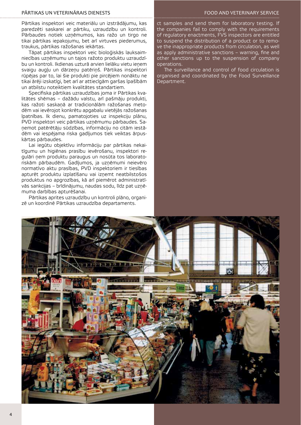#### PĀRTIKAS UN VETERINĀRAIS DIENESTS VALSTS TARA AT ATSTĀRTS TODA AND VETERINARY SERVICE

Pārtikas inspektori veic materiālu un izstrādājumu, kas paredzēti saskarei ar pārtiku, uzraudzību un kontroli. Pārbaudes notiek uzņēmumos, kas ražo un tirgo ne tikai pārtikas iepakojumu, bet arī virtuves piederumus, traukus, pārtikas ražošanas iekārtas.

Tāpat pārtikas inspektori veic bioloģiskās lauksaimniecības uzņēmumu un tajos ražoto produktu uzraudzību un kontroli. Ikdienas uzturā arvien lielāku vietu ieņem svaigu augļu un dārzeņu patēriņš. Pārtikas inspektori rūpējas par to, lai šie produkti pie pircējiem nonāktu ne tikai ārēji izskatīgi, bet arī ar attiecīgām garšas īpašībām un atbilstu noteiktiem kvalitātes standartiem.

Specifiska pārtikas uzraudzības joma ir Pārtikas kvalitātes shēmas – dažādu valstu, arī pašmāju produkti, kas ražoti saskaņā ar tradicionālām ražošanas metodēm vai ievērojot konkrētu apgabalu vietējās ražošanas īpatnības. Ik dienu, pamatojoties uz inspekciju plānu, PVD inspektori veic pārtikas uzņēmumu pārbaudes. Saņemot patērētāju sūdzības, informāciju no citām iestādēm vai iespējama riska gadījumos tiek veiktas ārpuskārtas pārbaudes.

Lai iegūtu objektīvu informāciju par pārtikas nekaitīgumu un higiēnas prasību ievērošanu, inspektori regulāri ņem produktu paraugus un nosūta tos laboratoriskām pārbaudēm. Gadījumos, ja uzņēmumi neievēro normatīvo aktu prasības, PVD inspektoriem ir tiesības apturēt produktu izplatīšanu vai izņemt neatbilstošos produktus no apgrozības, kā arī piemērot administratīvās sankcijas – brīdinājumu, naudas sodu, līdz pat uzņēmuma darbības apturēšanai.

Pārtikas aprites uzraudzību un kontroli plāno, organizē un koordinē Pārtikas uzraudzība departaments.

ct samples and send them for laboratory testing. If the companies fail to comply with the requirements of regulatory enactments, FVS inspectors are entitled to suspend the distribution of a product or to remove the inappropriate products from circulation, as well as apply administrative sanctions – warning, fine and other sanctions up to the suspension of company operations.

The surveillance and control of food circulation is organised and coordinated by the Food Surveillance Department.

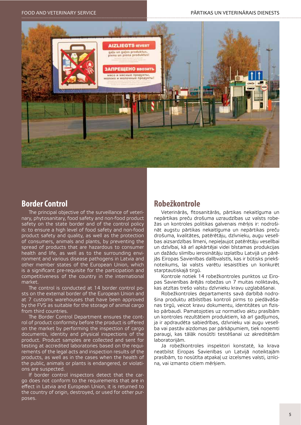

# **Border Control**

The principal objective of the surveillance of veterinary, phytosanitary, food safety and non-food product safety on the state border and of the control policy is: to ensure a high level of food safety and non-food product safety and quality, as well as the protection of consumers, animals and plants, by preventing the spread of products that are hazardous to consumer health and life, as well as to the surrounding environment and various disease pathogens in Latvia and other member states of the European Union, which is a significant pre-requisite for the participation and competitiveness of the country in the international market.

The control is conducted at 14 border control posts on the external border of the European Union and at 7 customs warehouses that have been approved by the FVS as suitable for the storage of animal cargo from third countries.

The Border Control Department ensures the control of product conformity before the product is offered on the market by performing the inspection of cargo documents, identity and physical inspections of the product. Product samples are collected and sent for testing at accredited laboratories based on the requirements of the legal acts and inspection results of the products, as well as in the cases when the health of the public, animals or plants is endangered, or violations are suspected.

If border control inspectors detect that the cargo does not conform to the requirements that are in effect in Latvia and European Union, it is returned to the country of origin, destroyed, or used for other purposes.

## **Robežkontrole**

Veterinārās, fitosanitārās, pārtikas nekaitīguma un nepārtikas preču drošuma uzraudzības uz valsts robežas un kontroles politikas galvenais mērķis ir: nodrošināt augstu pārtikas nekaitīguma un nepārtikas preču drošuma, kvalitātes, patērētāju, dzīvnieku, augu veselības aizsardzības līmeni, nepieļaujot patērētāju veselībai un dzīvībai, kā arī apkārtējai videi bīstamas produkcijas un dažādu slimību ierosinātāju izplatību Latvijā un pārējās Eiropas Savienības dalībvalstīs, kas ir būtisks priekšnoteikums, lai valsts varētu iesaistīties un konkurēt starptautiskajā tirgū.

Kontrole notiek 14 robežkontroles punktos uz Eiropas Savienības ārējās robežas un 7 muitas noliktavās, kas atzītas trešo valstu dzīvnieku kravu uzglabāšanai.

Robežkontroles departaments savā darbībā nodrošina produktu atbilstības kontroli pirms to piedāvāšanas tirgū, veicot kravu dokumentu, identitātes un fizisko pārbaudi. Pamatojoties uz normatīvo aktu prasībām un kontroles rezultātiem produktiem, kā arī gadījumos, ja ir apdraudēta sabiedrības, dzīvnieku vai augu veselība vai pastāv aizdomas par pārkāpumiem, tiek noņemti paraugi, kas tālāk nosūtīti testēšanai uz akreditētām laboratorijām.

Ja robežkontroles inspektori konstatē, ka krava neatbilst Eiropas Savienības un Latvijā noteiktajām prasībām, to nosūtīta atpakaļ uz izcelsmes valsti, iznīcina, vai izmanto citiem mērķiem.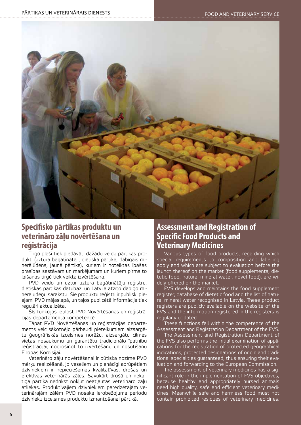

# **Specifsko pārtikas produktu un veterināro zāļu novērtēšana un reģistrācija**

Tirgū plaši tiek piedāvāti dažādu veidu pārtikas produkti (uztura bagātinātāji, diētiskā pārtika, dabīgais minerālūdens, jaunā pārtika), kuriem ir noteiktas īpašas prasības sastāvam un marķējumam un kuriem pirms to laišanas tirgū tiek veikta izvērtēšana.

PVD veido un uztur uztura bagātinātāju reģistru, diētiskās pārtikas datubāzi un Latvijā atzīto dabīgo minerālūdeņu sarakstu. Šie produktu reģistri ir publiski pieejami PVD mājaslapā, un tajos publicētā informācija tiek regulāri aktualizēta.

Šīs funkcijas ietilpst PVD Novērtēšanas un reģistrācijas departamenta kompetencē.

Tāpat PVD Novērtēšanas un reģistrācijas departaments veic sākotnējo pārbaudi pieteikumiem aizsargātu ģeogrāfiskās izcelsmes norāžu, aizsargātu cilmes vietas nosaukumu un garantētu tradicionālo īpatnību reģistrācijai, nodrošinot to izvērtēšanu un nosūtīšanu Eiropas Komisijai.

Veterināro zāļu novērtēšanai ir būtiska nozīme PVD mērķu realizēšanā, jo veseliem un pienācīgi aprūpētiem dzīvniekiem ir nepieciešamas kvalitatīvas, drošas un efektīvas veterinārās zāles. Savukārt drošā un nekaitīgā pārtikā nedrīkst nokļūt neatļautas veterināro zāļu atliekas. Produktīvajiem dzīvniekiem paredzētajām veterinārajām zālēm PVD nosaka ierobežojuma periodu dzīvnieku izcelsmes produktu izmantošanai pārtikā.

# **Assessment and Registration of Specifc Food Products and Veterinary Medicines**

Various types of food products, regarding which special requirements to composition and labelling apply and which are subject to evaluation before the launch thereof on the market (food supplements, dietetic food, natural mineral water, novel food), are widely offered on the market.

FVS develops and maintains the food supplement register, database of dietetic food and the list of natural mineral water recognised in Latvia. These product registers are publicly available on the website of the FVS and the information registered in the registers is regularly updated.

These functions fall within the competence of the Assessment and Registration Department of the FVS.

The Assessment and Registration Department of the FVS also performs the initial examination of applications for the registration of protected geographical indications, protected designations of origin and traditional specialities guaranteed, thus ensuring their evaluation and forwarding to the European Commission.

The assessment of veterinary medicines has a significant role in the implementation of FVS objectives, because healthy and appropriately nursed animals need high quality, safe and efficient veterinary medicines. Meanwhile safe and harmless food must not contain prohibited residues of veterinary medicines.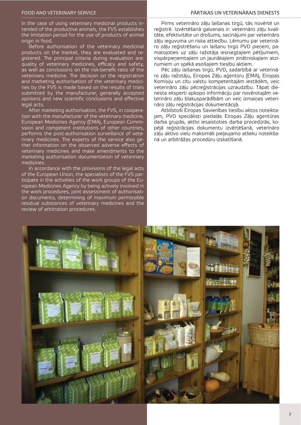#### FOOD AND VETERINARY SERVICE THE RESERVED ON THE RATICAL PARTIKAS UN VETERINARAIS DIENESTS

In the case of using veterinary medicinal products intended of the productive animals, the FVS establishes the limitation period for the use of products of animal origin in food.

Before authorisation of the veterinary medicinal products on the market, they are evaluated and registered. The principal criteria during evaluation are: quality of veterinary medicines, efficacy and safety, as well as conclusions on the risk-benefit ratio of the veterinary medicine. The decision on the registration and marketing authorisation of the veterinary medicines by the FVS is made based on the results of trials submitted by the manufacturer, generally accepted opinions and new scientific conclusions and effective legal acts.

After marketing authorisation, the FVS, in cooperation with the manufacturer of the veterinary medicine, European Medicines Agency (EMA), European Commission and competent institutions of other countries, performs the post-authorisation surveillance of veterinary medicines. The experts of the service also gether information on the observed adverse effects of veterinary medicines and make amendments to the marketing authorisation documentation of veterinary medicines.

In accordance with the provisions of the legal acts of the European Union, the specialists of the FVS participate in the activities of the work groups of the European Medicines Agency by being actively involved in the work procedures, joint assessment of authorisation documents, determining of maximum permissible residual substances of veterinary medicines and the review of arbitration procedures.

Pirms veterināro zāļu laišanas tirgū, tās novērtē un reģistrē. Izvērtēšanā galvenais ir: veterināro zāļu kvalitāte, efektivitāte un drošums, secinājumi par veterināro zāļu ieguvuma un riska attiecību. Lēmumu par veterināro zāļu reģistrēšanu un laišanu tirgū PVD pieņem, pamatojoties uz zāļu ražotāja iesniegtajiem pētījumiem, vispārpieņemtajiem un jaunākajiem zinātniskajiem atzinumiem un spēkā esošajiem tiesību aktiem.

Pēc zāļu laišanas tirgū, PVD, sadarbībā ar veterināro zāļu ražotāju, Eiropas Zāļu aģentūru (EMA), Eiropas Komisiju un citu valstu kompetentajām iestādēm, veic veterināro zāļu pēcreģistrācijas uzraudzību. Tāpat dienesta eksperti apkopo informāciju par novērotajām veterināro zāļu blakusparādībām un veic izmaiņas veterināro zāļu reģistrācijas dokumentācijā.

Atbilstoši Eiropas Savienības tiesību aktos noteiktajam, PVD speciālisti piedalās Eiropas Zāļu aģentūras darba grupās, aktīvi iesaistoties darba procedūrās, kopējā reģistrācijas dokumentu izvērtēšanā, veterināro zāļu aktīvo vielu maksimāli pieļaujamo atlieku noteikšanā un arbitrāžas procedūru izskatīšanā.

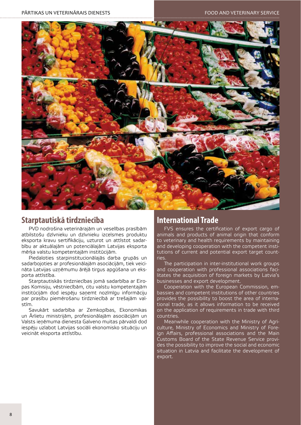

# **Starptautiskā tirdzniecība**

PVD nodrošina veterinārajām un veselības prasībām atbilstošu dzīvnieku un dzīvnieku izcelsmes produktu eksporta kravu sertifikāciju, uzturot un attīstot sadarbību ar aktuālajām un potenciālajām Latvijas eksporta mērķa valstu kompetentajām institūcijām.

Piedaloties starpinstitucionālajās darba grupās un sadarbojoties ar profesionālajām asociācijām, tiek veicināta Latvijas uzņēmumu ārējā tirgus apgūšana un eksporta attīstība.

Starptautiskās tirdzniecības jomā sadarbība ar Eiropas Komisiju, vēstniecībām, citu valstu kompetentajām institūcijām dod iespēju saņemt nozīmīgu informāciju par prasību piemērošanu tirdzniecībā ar trešajām valstīm.

Savukārt sadarbība ar Zemkopības, Ekonomikas un Ārlietu ministrijām, profesionālajām asociācijām un Valsts ieņēmuma dienesta Galveno muitas pārvaldi dod iespēju uzlabot Latvijas sociāli ekonomisko situāciju un veicināt eksporta attīstību.

# **International Trade**

FVS ensures the certification of export cargo of animals and products of animal origin that conform to veterinary and health requirements by maintaining and developing cooperation with the competent institutions of current and potential export target countries.

The participation in inter-institutional work groups and cooperation with professional associations facilitates the acquisition of foreign markets by Latvia's businesses and export development.

Cooperation with the European Commission, embassies and competent institutions of other countries provides the possibility to boost the area of international trade, as it allows information to be received on the application of requirements in trade with third countries.

Meanwhile cooperation with the Ministry of Agriculture, Ministry of Economics and Ministry of Foreign Affairs, professional associations and the Main Customs Board of the State Revenue Service provides the possibility to improve the social and economic situation in Latvia and facilitate the development of export.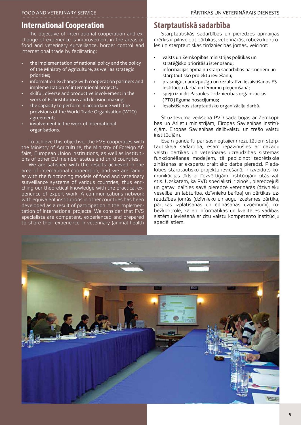## **International Cooperation**

The objective of international cooperation and exchange of experience is improvement in the areas of food and veterinary surveillance, border control and international trade by facilitating:

- the implementation of national policy and the policy of the Ministry of Agriculture, as well as strategic priorities:
- information exchange with cooperation partners and implementation of international projects:
- skilful, diverse and productive involvement in the work of EU institutions and decision making:
- the capacity to perform in accordance with the provisions of the World Trade Organisation (WTO) agreement:
- involvement in the work of international organisations.

To achieve this objective, the FVS cooperates with the Ministry of Agriculture, the Ministry of Foreign Affairs, European Union institutions, as well as institutions of other EU member states and third countries.

We are satisfied with the results achieved in the area of international cooperation, and we are familiar with the functioning models of food and veterinary surveillance systems of various countries, thus enriching our theoretical knowledge with the practical experience of expert work. A communications network with equivalent institutions in other countries has been developed as a result of participation in the implementation of international projects. We consider that FVS specialists are competent, experienced and prepared to share their experience in veterinary (animal health

### **Starptautiskā sadarbība**

Starptautiskās sadarbības un pieredzes apmaiņas mērķis ir pilnveidot pārtikas, veterinārās, robežu kontroles un starptautiskās tirdzniecības jomas, veicinot:

- valsts un Zemkopības ministrijas politikas un stratēģisko prioritāšu īstenošanu;
- informācijas apmainu starp sadarbības partneriem un starptautisko projektu ieviešanu;
- prasmīgu, daudzpusīgu un rezultatīvu iesaistīšanos ES institūciju darbā un lēmumu pienemšanā;
- spēju izpildīt Pasaules Tirdzniecības organizācijas (PTO) līguma nosacījumus;
- iesaistīšanos starptautisko organizāciju darbā.

Šī uzdevuma veikšanā PVD sadarbojas ar Zemkopības un Ārlietu ministrijām, Eiropas Savienības institūcijām, Eiropas Savienības dalībvalstu un trešo valstu institūcijām.

Esam gandarīti par sasniegtajiem rezultātiem starptautiskajā sadarbībā, esam iepazinušies ar dažādu valstu pārtikas un veterinārās uzraudzības sistēmas funkcionēšanas modeļiem, tā papildinot teorētiskās zināšanas ar ekspertu praktisko darba pieredzi. Piedaloties starptautisko projektu ieviešanā, ir izveidots komunikācijas tīkls ar līdzvērtīgām institūcijām citās valstīs. Uzskatām, ka PVD speciālisti ir zinoši, pieredzējuši un gatavi dalīties savā pieredzē veterinārās (dzīvnieku veselība un labturība, dzīvnieku barība) un pārtikas uzraudzības jomās (dzīvnieku un augu izcelsmes pārtika, pārtikas izplatīšanas un ēdināšanas uzņēmumi), robežkontrolē, kā arī informātikas un kvalitātes vadības sistēmu ieviešanā ar citu valstu kompetento institūciju speciālistiem.

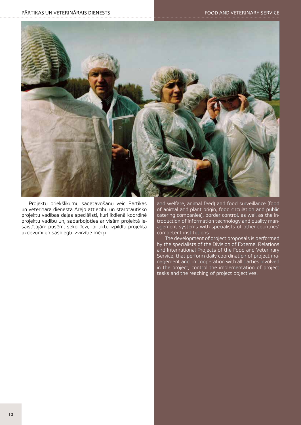

Projektu priekšlikumu sagatavošanu veic Pārtikas un veterinārā dienesta Ārējo attiecību un starptautisko projektu vadības daļas speciālisti, kuri ikdienā koordinē projektu vadību un, sadarbojoties ar visām projektā iesaistītajām pusēm, seko līdzi, lai tiktu izpildīti projekta uzdevumi un sasniegti izvirzītie mērķi.

and welfare, animal feed) and food surveillance (food of animal and plant origin, food circulation and public catering companies), border control, as well as the introduction of information technology and quality management systems with specialists of other countries' competent institutions.

The development of project proposals is performed by the specialists of the Division of External Relations and International Projects of the Food and Veterinary Service, that perform daily coordination of project management and, in cooperation with all parties involved in the project, control the implementation of project tasks and the reaching of project objectives.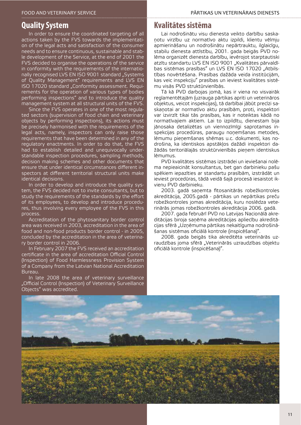### **Quality System**

In order to ensure the coordinated targeting of all actions taken by the FVS towards the implementation of the legal acts and satisfaction of the consumer needs and to ensure continuous, sustainable and stable development of the Service, at the end of 2001 the FVS decided to organise the operations of the service in conformity with the requirements of the internationally recognised LVS EN ISO 9001 standard "Systems of Quality Management" requirements and LVS EN ISO 17020 standard "Conformity assessment. Requirements for the operation of various types of bodies performing inspections" and to introduce the quality management system at all structural units of the FVS.

Since the FVS operates in one of the most regulated sectors (supervision of food chain and veterinary objects by performing inspections), its actions must be precisely harmonised with the requirements of the legal acts, namely, inspectors can only raise those requirements that have been determined in any of the regulatory enactments. In order to do that, the FVS had to establish detailed and unequivocally understandable inspection procedures, sampling methods, decision making schemes and other documents that ensure that under identical circumstances different inspectors at different territorial structural units make identical decisions.

In order to develop and introduce the quality system, the FVS decided not to invite consultants, but to study the requirements of the standards by the effort of its employees, to develop and introduce procedures, thus involving every employee of the FVS in this process.

Accreditation of the phytosanitary border control area was received in 2003, accreditation in the area of food and non-food products border control - in 2005, concluded by the accreditation in the area of veterinary border control in 2006.

In February 2007 the FVS received an accreditation certificate in the area of accreditation Official Control (Inspection) of Food Harmlessness Provision System of a Company from the Latvian National Accreditation Bureau.

In late 2008 the area of veterinary surveillance "Official Control (Inspection) of Veterinary Surveillance Objects" was accredited.

### **Kvalitātes sistēma**

Lai nodrošinātu visu dienesta veikto darbību saskaņotu virzību uz normatīvo aktu izpildi, klientu vēlmju apmierināšanu un nodrošinātu nepārtrauktu, ilglaicīgu, stabilu dienesta attīstību, 2001. gada beigās PVD nolēma organizēt dienesta darbību, ievērojot starptautiski atzītu standartu LVS EN ISO 9001 "Kvalitātes pārvaldības sistēmas prasības" un LVS EN ISO 17020 "Atbilstības novērtēšana. Prasības dažāda veida institūcijām, kas veic inspekciju" prasības un ieviest kvalitātes sistēmu visās PVD struktūrvienībās.

Tā kā PVD darbojas jomā, kas ir viena no visvairāk reglamentētajām (uzrauga pārtikas apriti un veterināros objektus, veicot inspekcijas), tā darbībai jābūt precīzi saskaņotai ar normatīvo aktu prasībām, proti, inspektori var izvirzīt tikai tās prasības, kas ir noteiktas kādā no normatīvajiem aktiem. Lai to izpildītu, dienestam bija jānosaka detalizētas un viennozīmīgi saprotamas inspekcijas procedūras, paraugu noņemšanas metodes, lēmumu pieņemšanas shēmas u.c. dokumenti, kas nodrošina, ka identiskos apstākļos dažādi inspektori dažādās teritoriālajās struktūrvienībās pieņem identiskus lēmumus.

PVD kvalitātes sistēmas izstrādei un ieviešanai nolēma nepieaicināt konsultantus, bet gan darbinieku pašu spēkiem iepazīties ar standartu prasībām, izstrādāt un ieviest procedūras, tādā veidā šajā procesā iesaistot ikvienu PVD darbinieku.

2003. gadā saņemta fitosanitārās robežkontroles akreditācija, 2005.gadā - pārtikas un nepārtikas preču robežkontroles jomas akreditācija, kuru noslēdza veterinārās jomas robežkontroles akreditācija 2006. gadā.

2007. gada februārī PVD no Latvijas Nacionālā akreditācijas biroja saņēma akreditācijas apliecību akreditācijas sfērā "Uzņēmuma pārtikas nekaitīguma nodrošināšanas sistēmas oficiālā kontrole (inspicēšana)".

2008. gada beigās tika akreditēta veterinārās uzraudzības joma sfērā "Veterinārās uzraudzības objektu oficiālā kontrole (inspicēšana)".

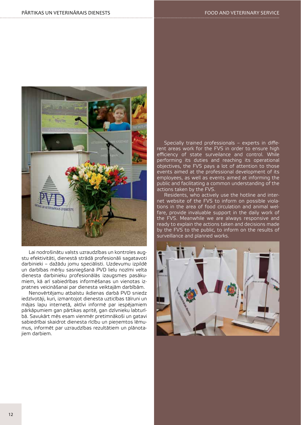

Lai nodrošinātu valsts uzraudzības un kontroles augstu efektivitāti, dienestā strādā profesionāli sagatavoti darbinieki – dažādu jomu speciālisti. Uzdevumu izpildē un darbības mērķu sasniegšanā PVD lielu nozīmi velta dienesta darbinieku profesionālās izaugsmes pasākumiem, kā arī sabiedrības informēšanas un vienotas izpratnes veicināšanai par dienesta veiktajām darbībām.

Nenovērtējamu atbalstu ikdienas darbā PVD sniedz iedzīvotāji, kuri, izmantojot dienesta uzticības tālruni un mājas lapu internetā, aktīvi informē par iespējamiem pārkāpumiem gan pārtikas apritē, gan dzīvnieku labturībā. Savukārt mēs esam vienmēr pretimnākoši un gatavi sabiedrībai skaidrot dienesta rīcību un pieņemtos lēmumus, informēt par uzraudzības rezultātiem un plānotajiem darbiem.

Specially trained professionals – experts in different areas work for the FVS in order to ensure high efficiency of state surveilance and control. While performing its duties and reaching its operational objectives, the FVS pays a lot of attention to those events aimed at the professional development of its employees, as well as events aimed at informing the public and facilitating a common understanding of the actions taken by the FVS.

Residents, who actively use the hotline and internet website of the FVS to inform on possible violations in the area of food circulation and animal welfare, provide invaluable support in the daily work of the FVS. Meanwhile we are always responsive and ready to explain the actions taken and decisions made by the FVS to the public, to inform on the results of surveillance and planned works.



 $12$